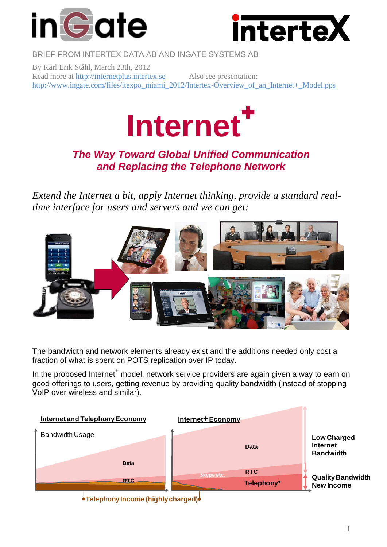



BRIEF FROM INTERTEX DATA AB AND INGATE SYSTEMS AB

By Karl Erik Ståhl, March 23th, 2012 Read more at [http://internetplus.intertex.se](http://internetplus.intertex.se/) Also see presentation: [http://www.ingate.com/files/itexpo\\_miami\\_2012/Intertex-Overview\\_of\\_an\\_Internet+\\_Model.pps](http://www.ingate.com/files/itexpo_miami_2012/Intertex-Overview_of_an_Internet+_Model.pps)



## *The Way Toward Global Unified Communication and Replacing the Telephone Network*

*Extend the Internet a bit, apply Internet thinking, provide a standard realtime interface for users and servers and we can get:*



The bandwidth and network elements already exist and the additions needed only cost a fraction of what is spent on POTS replication over IP today.

In the proposed Internet<sup>+</sup> model, network service providers are again given a way to earn on good offerings to users, getting revenue by providing quality bandwidth (instead of stopping VoIP over wireless and similar).



**Telephony Income (highly charged)**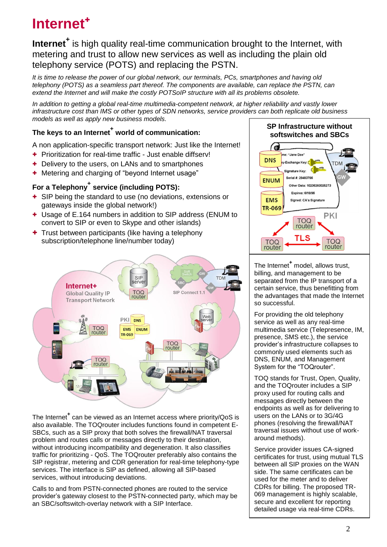**Internet<sup>+</sup>** is high quality real-time communication brought to the Internet, with metering and trust to allow new services as well as including the plain old telephony service (POTS) and replacing the PSTN.

*It is time to release the power of our global network, our terminals, PCs, smartphones and having old telephony (POTS) as a seamless part thereof. The components are available, can replace the PSTN, can extend the Internet and will make the costly POTSoIP structure with all its problems obsolete.* 

*In addition to getting a global real-time multimedia-competent network, at higher reliability and vastly lower infrastructure cost than IMS or other types of SDN networks, service providers can both replicate old business models as well as apply new business models.*

### **The keys to an Internet<sup>+</sup> world of communication:**

A non application-specific transport network: Just like the Internet!

- + Prioritization for real-time traffic Just enable diffserv!
- + Delivery to the users, on LANs and to smartphones
- + Metering and charging of "beyond Internet usage"

### **For a Telephony<sup>+</sup> service (including POTS):**

- + SIP being the standard to use (no deviations, extensions or gateways inside the global network!)
- + Usage of E.164 numbers in addition to SIP address (ENUM to convert to SIP or even to Skype and other islands)
- + Trust between participants (like having a telephony subscription/telephone line/number today)



The Internet**<sup>+</sup>** can be viewed as an Internet access where priority/QoS is also available. The TOQrouter includes functions found in competent E-SBCs, such as a SIP proxy that both solves the firewall/NAT traversal problem and routes calls or messages directly to their destination, without introducing incompatibility and degeneration. It also classifies traffic for prioritizing - QoS. The TOQrouter preferably also contains the SIP registrar, metering and CDR generation for real-time telephony-type services. The interface is SIP as defined, allowing all SIP-based services, without introducing deviations.

Calls to and from PSTN-connected phones are routed to the service provider's gateway closest to the PSTN-connected party, which may be an SBC/softswitch-overlay network with a SIP Interface.



The Internet**<sup>+</sup>** model, allows trust, billing, and management to be separated from the IP transport of a certain service, thus benefitting from the advantages that made the Internet so successful.

For providing the old telephony service as well as any real-time multimedia service (Telepresence, IM, presence, SMS etc.), the service provider's infrastructure collapses to commonly used elements such as DNS, ENUM, and Management System for the "TOQrouter".

TOQ stands for Trust, Open, Quality, and the TOQrouter includes a SIP proxy used for routing calls and messages directly between the endpoints as well as for delivering to users on the LANs or to 3G/4G phones (resolving the firewall/NAT traversal issues without use of workaround methods).

Service provider issues CA-signed certificates for trust, using mutual TLS between all SIP proxies on the WAN side. The same certificates can be used for the meter and to deliver CDRs for billing. The proposed TR-069 management is highly scalable, secure and excellent for reporting detailed usage via real-time CDRs.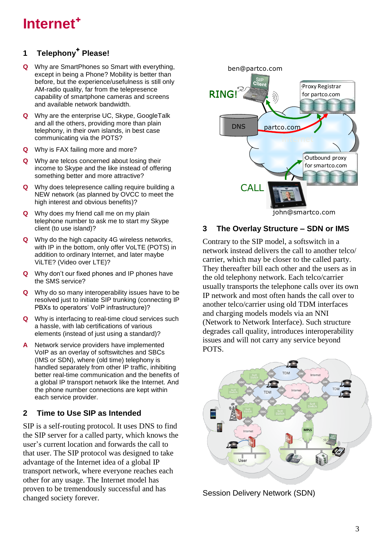## **1 Telephony** + **Please!**

- **Q** Why are SmartPhones so Smart with everything, except in being a Phone? Mobility is better than before, but the experience/usefulness is still only AM-radio quality, far from the telepresence capability of smartphone cameras and screens and available network bandwidth.
- **Q** Why are the enterprise UC, Skype, GoogleTalk and all the others, providing more than plain telephony, in their own islands, in best case communicating via the POTS?
- **Q** Why is FAX failing more and more?
- **Q** Why are telcos concerned about losing their income to Skype and the like instead of offering something better and more attractive?
- **Q** Why does telepresence calling require building a NEW network (as planned by OVCC to meet the high interest and obvious benefits)?
- **Q** Why does my friend call me on my plain telephone number to ask me to start my Skype client (to use island)?
- **Q** Why do the high capacity 4G wireless networks, with IP in the bottom, only offer VoLTE (POTS) in addition to ordinary Internet, and later maybe ViLTE? (Video over LTE)?
- **Q** Why don't our fixed phones and IP phones have the SMS service?
- **Q** Why do so many interoperability issues have to be resolved just to initiate SIP trunking (connecting IP PBXs to operators' VoIP infrastructure)?
- **Q** Why is interfacing to real-time cloud services such a hassle, with lab certifications of various elements (instead of just using a standard)?
- **A** Network service providers have implemented VoIP as an overlay of softswitches and SBCs (IMS or SDN), where (old time) telephony is handled separately from other IP traffic, inhibiting better real-time communication and the benefits of a global IP transport network like the Internet. And the phone number connections are kept within each service provider.

#### **2 Time to Use SIP as Intended**

SIP is a self-routing protocol. It uses DNS to find the SIP server for a called party, which knows the user's current location and forwards the call to that user. The SIP protocol was designed to take advantage of the Internet idea of a global IP transport network, where everyone reaches each other for any usage. The Internet model has proven to be tremendously successful and has changed society forever.



#### **3 The Overlay Structure – SDN or IMS**

Contrary to the SIP model, a softswitch in a network instead delivers the call to another telco/ carrier, which may be closer to the called party. They thereafter bill each other and the users as in the old telephony network. Each telco/carrier usually transports the telephone calls over its own IP network and most often hands the call over to another telco/carrier using old TDM interfaces and charging models models via an NNI (Network to Network Interface). Such structure degrades call quality, introduces interoperability issues and will not carry any service beyond POTS.



Session Delivery Network (SDN)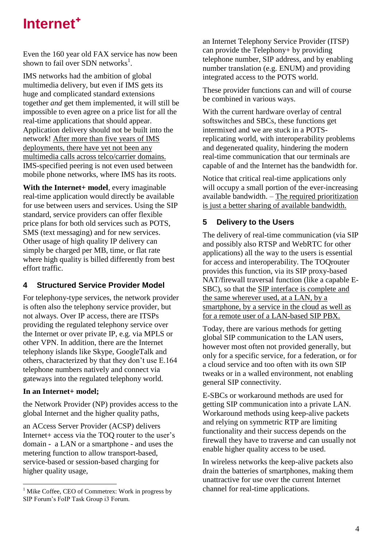Even the 160 year old FAX service has now been shown to fail over SDN networks $<sup>1</sup>$ .</sup>

IMS networks had the ambition of global multimedia delivery, but even if IMS gets its huge and complicated standard extensions together *and* get them implemented, it will still be impossible to even agree on a price list for all the real-time applications that should appear. Application delivery should not be built into the network! After more than five years of IMS deployments, there have yet not been any multimedia calls across telco/carrier domains. IMS-specified peering is not even used between mobile phone networks, where IMS has its roots.

**With the Internet+ model**, every imaginable real-time application would directly be available for use between users and services. Using the SIP standard, service providers can offer flexible price plans for both old services such as POTS, SMS (text messaging) and for new services. Other usage of high quality IP delivery can simply be charged per MB, time, or flat rate where high quality is billed differently from best effort traffic.

#### **4 Structured Service Provider Model**

For telephony-type services, the network provider is often also the telephony service provider, but not always. Over IP access, there are ITSPs providing the regulated telephony service over the Internet or over private IP, e.g. via MPLS or other VPN. In addition, there are the Internet telephony islands like Skype, GoogleTalk and others, characterized by that they don't use E.164 telephone numbers natively and connect via gateways into the regulated telephony world.

#### **In an Internet+ model;**

the Network Provider (NP) provides access to the global Internet and the higher quality paths,

an ACcess Server Provider (ACSP) delivers Internet+ access via the TOQ router to the user's domain - a LAN or a smartphone - and uses the metering function to allow transport-based, service-based or session-based charging for higher quality usage,

an Internet Telephony Service Provider (ITSP) can provide the Telephony+ by providing telephone number, SIP address, and by enabling number translation (e.g. ENUM) and providing integrated access to the POTS world.

These provider functions can and will of course be combined in various ways.

With the current hardware overlay of central softswitches and SBCs, these functions get intermixed and we are stuck in a POTSreplicating world, with interoperability problems and degenerated quality, hindering the modern real-time communication that our terminals are capable of and the Internet has the bandwidth for.

Notice that critical real-time applications only will occupy a small portion of the ever-increasing available bandwidth. – The required prioritization is just a better sharing of available bandwidth.

#### **5 Delivery to the Users**

The delivery of real-time communication (via SIP and possibly also RTSP and WebRTC for other applications) all the way to the users is essential for access and interoperability. The TOQrouter provides this function, via its SIP proxy-based NAT/firewall traversal function (like a capable E-SBC), so that the SIP interface is complete and the same wherever used, at a LAN, by a smartphone, by a service in the cloud as well as for a remote user of a LAN-based SIP PBX.

Today, there are various methods for getting global SIP communication to the LAN users, however most often not provided generally, but only for a specific service, for a federation, or for a cloud service and too often with its own SIP tweaks or in a walled environment, not enabling general SIP connectivity.

E-SBCs or workaround methods are used for getting SIP communication into a private LAN. Workaround methods using keep-alive packets and relying on symmetric RTP are limiting functionality and their success depends on the firewall they have to traverse and can usually not enable higher quality access to be used.

In wireless networks the keep-alive packets also drain the batteries of smartphones, making them unattractive for use over the current Internet channel for real-time applications.

 $\overline{a}$ <sup>1</sup> Mike Coffee, CEO of Commetrex: Work in progress by SIP Forum's FoIP Task Group i3 Forum.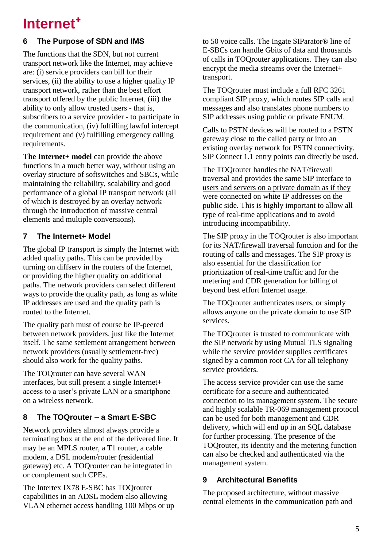## **6 The Purpose of SDN and IMS**

The functions that the SDN, but not current transport network like the Internet, may achieve are: (i) service providers can bill for their services, (ii) the ability to use a higher quality IP transport network, rather than the best effort transport offered by the public Internet, (iii) the ability to only allow trusted users - that is, subscribers to a service provider - to participate in the communication, (iv) fulfilling lawful intercept requirement and (v) fulfilling emergency calling requirements.

**The Internet+ model** can provide the above functions in a much better way, without using an overlay structure of softswitches and SBCs, while maintaining the reliability, scalability and good performance of a global IP transport network (all of which is destroyed by an overlay network through the introduction of massive central elements and multiple conversions).

### **7 The Internet+ Model**

The global IP transport is simply the Internet with added quality paths. This can be provided by turning on diffserv in the routers of the Internet, or providing the higher quality on additional paths. The network providers can select different ways to provide the quality path, as long as white IP addresses are used and the quality path is routed to the Internet.

The quality path must of course be IP-peered between network providers, just like the Internet itself. The same settlement arrangement between network providers (usually settlement-free) should also work for the quality paths.

The TOQrouter can have several WAN interfaces, but still present a single Internet+ access to a user's private LAN or a smartphone on a wireless network.

## **8 The TOQrouter – a Smart E-SBC**

Network providers almost always provide a terminating box at the end of the delivered line. It may be an MPLS router, a T1 router, a cable modem, a DSL modem/router (residential gateway) etc. A TOQrouter can be integrated in or complement such CPEs.

The Intertex IX78 E-SBC has TOQrouter capabilities in an ADSL modem also allowing VLAN ethernet access handling 100 Mbps or up to 50 voice calls. The Ingate SIParator® line of E-SBCs can handle Gbits of data and thousands of calls in TOQrouter applications. They can also encrypt the media streams over the Internet+ transport.

The TOQrouter must include a full RFC 3261 compliant SIP proxy, which routes SIP calls and messages and also translates phone numbers to SIP addresses using public or private ENUM.

Calls to PSTN devices will be routed to a PSTN gateway close to the called party or into an existing overlay network for PSTN connectivity. SIP Connect 1.1 entry points can directly be used.

The TOQrouter handles the NAT/firewall traversal and provides the same SIP interface to users and servers on a private domain as if they were connected on white IP addresses on the public side. This is highly important to allow all type of real-time applications and to avoid introducing incompatibility.

The SIP proxy in the TOQrouter is also important for its NAT/firewall traversal function and for the routing of calls and messages. The SIP proxy is also essential for the classification for prioritization of real-time traffic and for the metering and CDR generation for billing of beyond best effort Internet usage.

The TOQrouter authenticates users, or simply allows anyone on the private domain to use SIP services.

The TOQrouter is trusted to communicate with the SIP network by using Mutual TLS signaling while the service provider supplies certificates signed by a common root CA for all telephony service providers.

The access service provider can use the same certificate for a secure and authenticated connection to its management system. The secure and highly scalable TR-069 management protocol can be used for both management and CDR delivery, which will end up in an SQL database for further processing. The presence of the TOQrouter, its identity and the metering function can also be checked and authenticated via the management system.

## **9 Architectural Benefits**

The proposed architecture, without massive central elements in the communication path and